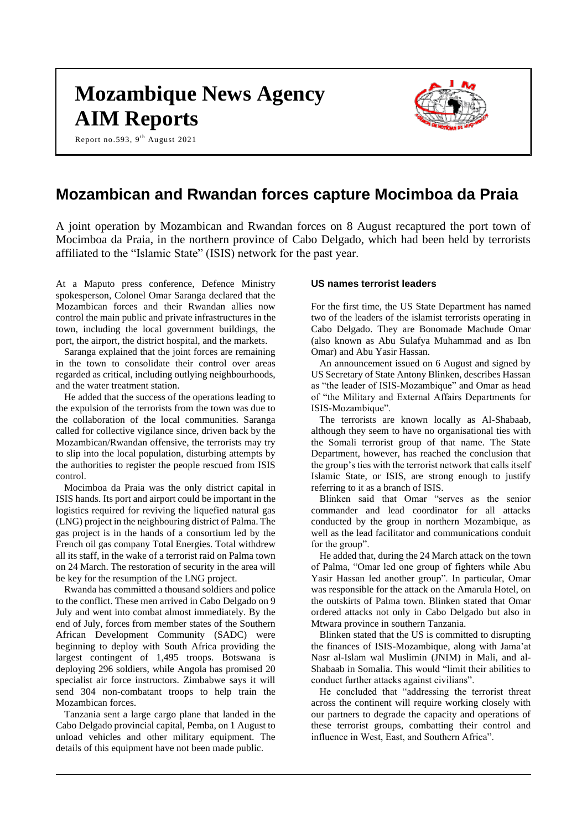# **Mozambique News Agency AIM Reports**

Report no.593, 9<sup>th</sup> August 2021



# **Mozambican and Rwandan forces capture Mocimboa da Praia**

A joint operation by Mozambican and Rwandan forces on 8 August recaptured the port town of Mocimboa da Praia, in the northern province of Cabo Delgado, which had been held by terrorists affiliated to the "Islamic State" (ISIS) network for the past year.

At a Maputo press conference, Defence Ministry spokesperson, Colonel Omar Saranga declared that the Mozambican forces and their Rwandan allies now control the main public and private infrastructures in the town, including the local government buildings, the port, the airport, the district hospital, and the markets.

Saranga explained that the joint forces are remaining in the town to consolidate their control over areas regarded as critical, including outlying neighbourhoods, and the water treatment station.

He added that the success of the operations leading to the expulsion of the terrorists from the town was due to the collaboration of the local communities. Saranga called for collective vigilance since, driven back by the Mozambican/Rwandan offensive, the terrorists may try to slip into the local population, disturbing attempts by the authorities to register the people rescued from ISIS control.

Mocimboa da Praia was the only district capital in ISIS hands. Its port and airport could be important in the logistics required for reviving the liquefied natural gas (LNG) project in the neighbouring district of Palma. The gas project is in the hands of a consortium led by the French oil gas company Total Energies. Total withdrew all its staff, in the wake of a terrorist raid on Palma town on 24 March. The restoration of security in the area will be key for the resumption of the LNG project.

Rwanda has committed a thousand soldiers and police to the conflict. These men arrived in Cabo Delgado on 9 July and went into combat almost immediately. By the end of July, forces from member states of the Southern African Development Community (SADC) were beginning to deploy with South Africa providing the largest contingent of 1,495 troops. Botswana is deploying 296 soldiers, while Angola has promised 20 specialist air force instructors. Zimbabwe says it will send 304 non-combatant troops to help train the Mozambican forces.

Tanzania sent a large cargo plane that landed in the Cabo Delgado provincial capital, Pemba, on 1 August to unload vehicles and other military equipment. The details of this equipment have not been made public.

#### **US names terrorist leaders**

For the first time, the US State Department has named two of the leaders of the islamist terrorists operating in Cabo Delgado. They are Bonomade Machude Omar (also known as Abu Sulafya Muhammad and as Ibn Omar) and Abu Yasir Hassan.

An announcement issued on 6 August and signed by US Secretary of State Antony Blinken, describes Hassan as "the leader of ISIS-Mozambique" and Omar as head of "the Military and External Affairs Departments for ISIS-Mozambique".

The terrorists are known locally as Al-Shabaab, although they seem to have no organisational ties with the Somali terrorist group of that name. The State Department, however, has reached the conclusion that the group's ties with the terrorist network that calls itself Islamic State, or ISIS, are strong enough to justify referring to it as a branch of ISIS.

Blinken said that Omar "serves as the senior commander and lead coordinator for all attacks conducted by the group in northern Mozambique, as well as the lead facilitator and communications conduit for the group".

He added that, during the 24 March attack on the town of Palma, "Omar led one group of fighters while Abu Yasir Hassan led another group". In particular, Omar was responsible for the attack on the Amarula Hotel, on the outskirts of Palma town. Blinken stated that Omar ordered attacks not only in Cabo Delgado but also in Mtwara province in southern Tanzania.

Blinken stated that the US is committed to disrupting the finances of ISIS-Mozambique, along with Jama'at Nasr al-Islam wal Muslimin (JNIM) in Mali, and al-Shabaab in Somalia. This would "limit their abilities to conduct further attacks against civilians".

He concluded that "addressing the terrorist threat across the continent will require working closely with our partners to degrade the capacity and operations of these terrorist groups, combatting their control and influence in West, East, and Southern Africa".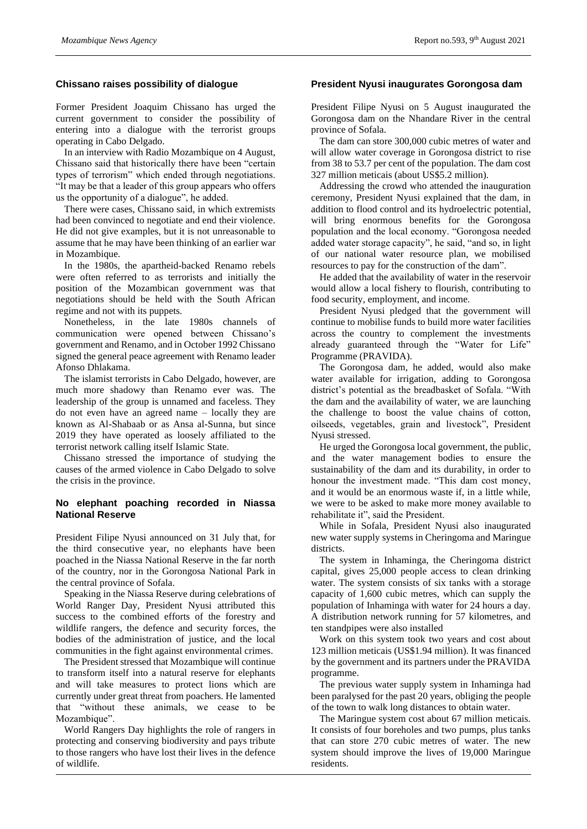#### **Chissano raises possibility of dialogue**

Former President Joaquim Chissano has urged the current government to consider the possibility of entering into a dialogue with the terrorist groups operating in Cabo Delgado.

In an interview with Radio Mozambique on 4 August, Chissano said that historically there have been "certain types of terrorism" which ended through negotiations. "It may be that a leader of this group appears who offers us the opportunity of a dialogue", he added.

There were cases, Chissano said, in which extremists had been convinced to negotiate and end their violence. He did not give examples, but it is not unreasonable to assume that he may have been thinking of an earlier war in Mozambique.

In the 1980s, the apartheid-backed Renamo rebels were often referred to as terrorists and initially the position of the Mozambican government was that negotiations should be held with the South African regime and not with its puppets.

Nonetheless, in the late 1980s channels of communication were opened between Chissano's government and Renamo, and in October 1992 Chissano signed the general peace agreement with Renamo leader Afonso Dhlakama.

The islamist terrorists in Cabo Delgado, however, are much more shadowy than Renamo ever was. The leadership of the group is unnamed and faceless. They do not even have an agreed name – locally they are known as Al-Shabaab or as Ansa al-Sunna, but since 2019 they have operated as loosely affiliated to the terrorist network calling itself Islamic State.

Chissano stressed the importance of studying the causes of the armed violence in Cabo Delgado to solve the crisis in the province.

#### **No elephant poaching recorded in Niassa National Reserve**

President Filipe Nyusi announced on 31 July that, for the third consecutive year, no elephants have been poached in the Niassa National Reserve in the far north of the country, nor in the Gorongosa National Park in the central province of Sofala.

Speaking in the Niassa Reserve during celebrations of World Ranger Day, President Nyusi attributed this success to the combined efforts of the forestry and wildlife rangers, the defence and security forces, the bodies of the administration of justice, and the local communities in the fight against environmental crimes.

The President stressed that Mozambique will continue to transform itself into a natural reserve for elephants and will take measures to protect lions which are currently under great threat from poachers. He lamented that "without these animals, we cease to be Mozambique".

World Rangers Day highlights the role of rangers in protecting and conserving biodiversity and pays tribute to those rangers who have lost their lives in the defence of wildlife.

#### **President Nyusi inaugurates Gorongosa dam**

President Filipe Nyusi on 5 August inaugurated the Gorongosa dam on the Nhandare River in the central province of Sofala.

The dam can store 300,000 cubic metres of water and will allow water coverage in Gorongosa district to rise from 38 to 53.7 per cent of the population. The dam cost 327 million meticais (about US\$5.2 million).

Addressing the crowd who attended the inauguration ceremony, President Nyusi explained that the dam, in addition to flood control and its hydroelectric potential, will bring enormous benefits for the Gorongosa population and the local economy. "Gorongosa needed added water storage capacity", he said, "and so, in light of our national water resource plan, we mobilised resources to pay for the construction of the dam".

He added that the availability of water in the reservoir would allow a local fishery to flourish, contributing to food security, employment, and income.

President Nyusi pledged that the government will continue to mobilise funds to build more water facilities across the country to complement the investments already guaranteed through the "Water for Life" Programme (PRAVIDA).

The Gorongosa dam, he added, would also make water available for irrigation, adding to Gorongosa district's potential as the breadbasket of Sofala. "With the dam and the availability of water, we are launching the challenge to boost the value chains of cotton, oilseeds, vegetables, grain and livestock", President Nyusi stressed.

He urged the Gorongosa local government, the public, and the water management bodies to ensure the sustainability of the dam and its durability, in order to honour the investment made. "This dam cost money, and it would be an enormous waste if, in a little while, we were to be asked to make more money available to rehabilitate it", said the President.

While in Sofala, President Nyusi also inaugurated new water supply systems in Cheringoma and Maringue districts.

The system in Inhaminga, the Cheringoma district capital, gives 25,000 people access to clean drinking water. The system consists of six tanks with a storage capacity of 1,600 cubic metres, which can supply the population of Inhaminga with water for 24 hours a day. A distribution network running for 57 kilometres, and ten standpipes were also installed

Work on this system took two years and cost about 123 million meticais (US\$1.94 million). It was financed by the government and its partners under the PRAVIDA programme.

The previous water supply system in Inhaminga had been paralysed for the past 20 years, obliging the people of the town to walk long distances to obtain water.

The Maringue system cost about 67 million meticais. It consists of four boreholes and two pumps, plus tanks that can store 270 cubic metres of water. The new system should improve the lives of 19,000 Maringue residents.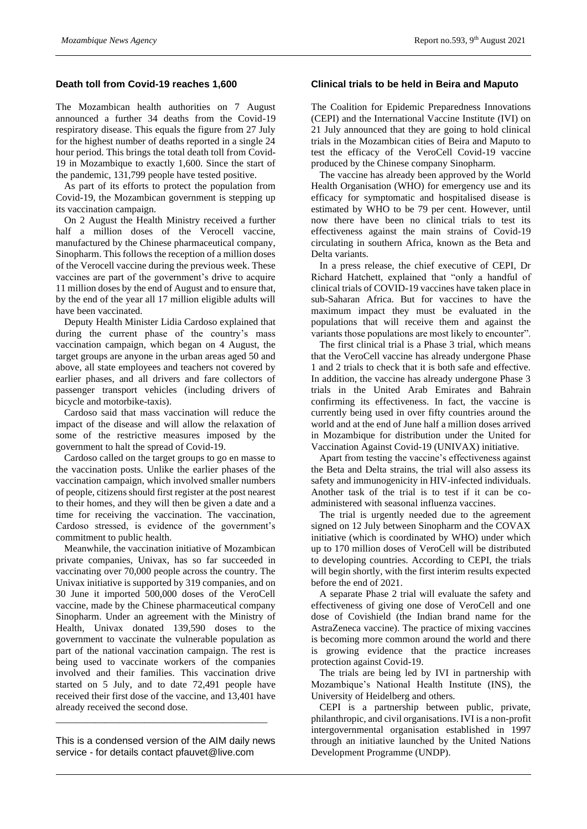#### **Death toll from Covid-19 reaches 1,600**

The Mozambican health authorities on 7 August announced a further 34 deaths from the Covid-19 respiratory disease. This equals the figure from 27 July for the highest number of deaths reported in a single 24 hour period. This brings the total death toll from Covid-19 in Mozambique to exactly 1,600. Since the start of the pandemic, 131,799 people have tested positive.

As part of its efforts to protect the population from Covid-19, the Mozambican government is stepping up its vaccination campaign.

On 2 August the Health Ministry received a further half a million doses of the Verocell vaccine, manufactured by the Chinese pharmaceutical company, Sinopharm. This follows the reception of a million doses of the Verocell vaccine during the previous week. These vaccines are part of the government's drive to acquire 11 million doses by the end of August and to ensure that, by the end of the year all 17 million eligible adults will have been vaccinated.

Deputy Health Minister Lidia Cardoso explained that during the current phase of the country's mass vaccination campaign, which began on 4 August, the target groups are anyone in the urban areas aged 50 and above, all state employees and teachers not covered by earlier phases, and all drivers and fare collectors of passenger transport vehicles (including drivers of bicycle and motorbike-taxis).

Cardoso said that mass vaccination will reduce the impact of the disease and will allow the relaxation of some of the restrictive measures imposed by the government to halt the spread of Covid-19.

Cardoso called on the target groups to go en masse to the vaccination posts. Unlike the earlier phases of the vaccination campaign, which involved smaller numbers of people, citizens should first register at the post nearest to their homes, and they will then be given a date and a time for receiving the vaccination. The vaccination, Cardoso stressed, is evidence of the government's commitment to public health.

Meanwhile, the vaccination initiative of Mozambican private companies, Univax, has so far succeeded in vaccinating over 70,000 people across the country. The Univax initiative is supported by 319 companies, and on 30 June it imported 500,000 doses of the VeroCell vaccine, made by the Chinese pharmaceutical company Sinopharm. Under an agreement with the Ministry of Health, Univax donated 139,590 doses to the government to vaccinate the vulnerable population as part of the national vaccination campaign. The rest is being used to vaccinate workers of the companies involved and their families. This vaccination drive started on 5 July, and to date 72,491 people have received their first dose of the vaccine, and 13,401 have already received the second dose.

This is a condensed version of the AIM daily news service - for details contact pfauvet@live.com

\_\_\_\_\_\_\_\_\_\_\_\_\_\_\_\_\_\_\_\_\_\_\_\_\_\_\_\_\_\_\_\_\_\_\_\_\_\_\_\_\_\_\_

#### **Clinical trials to be held in Beira and Maputo**

The Coalition for Epidemic Preparedness Innovations (CEPI) and the International Vaccine Institute (IVI) on 21 July announced that they are going to hold clinical trials in the Mozambican cities of Beira and Maputo to test the efficacy of the VeroCell Covid-19 vaccine produced by the Chinese company Sinopharm.

The vaccine has already been approved by the World Health Organisation (WHO) for emergency use and its efficacy for symptomatic and hospitalised disease is estimated by WHO to be 79 per cent. However, until now there have been no clinical trials to test its effectiveness against the main strains of Covid-19 circulating in southern Africa, known as the Beta and Delta variants.

In a press release, the chief executive of CEPI, Dr Richard Hatchett, explained that "only a handful of clinical trials of COVID-19 vaccines have taken place in sub-Saharan Africa. But for vaccines to have the maximum impact they must be evaluated in the populations that will receive them and against the variants those populations are most likely to encounter".

The first clinical trial is a Phase 3 trial, which means that the VeroCell vaccine has already undergone Phase 1 and 2 trials to check that it is both safe and effective. In addition, the vaccine has already undergone Phase 3 trials in the United Arab Emirates and Bahrain confirming its effectiveness. In fact, the vaccine is currently being used in over fifty countries around the world and at the end of June half a million doses arrived in Mozambique for distribution under the United for Vaccination Against Covid-19 (UNIVAX) initiative.

Apart from testing the vaccine's effectiveness against the Beta and Delta strains, the trial will also assess its safety and immunogenicity in HIV-infected individuals. Another task of the trial is to test if it can be coadministered with seasonal influenza vaccines.

The trial is urgently needed due to the agreement signed on 12 July between Sinopharm and the COVAX initiative (which is coordinated by WHO) under which up to 170 million doses of VeroCell will be distributed to developing countries. According to CEPI, the trials will begin shortly, with the first interim results expected before the end of 2021.

A separate Phase 2 trial will evaluate the safety and effectiveness of giving one dose of VeroCell and one dose of Covishield (the Indian brand name for the AstraZeneca vaccine). The practice of mixing vaccines is becoming more common around the world and there is growing evidence that the practice increases protection against Covid-19.

The trials are being led by IVI in partnership with Mozambique's National Health Institute (INS), the University of Heidelberg and others.

CEPI is a partnership between public, private, philanthropic, and civil organisations. IVI is a non-profit intergovernmental organisation established in 1997 through an initiative launched by the United Nations Development Programme (UNDP).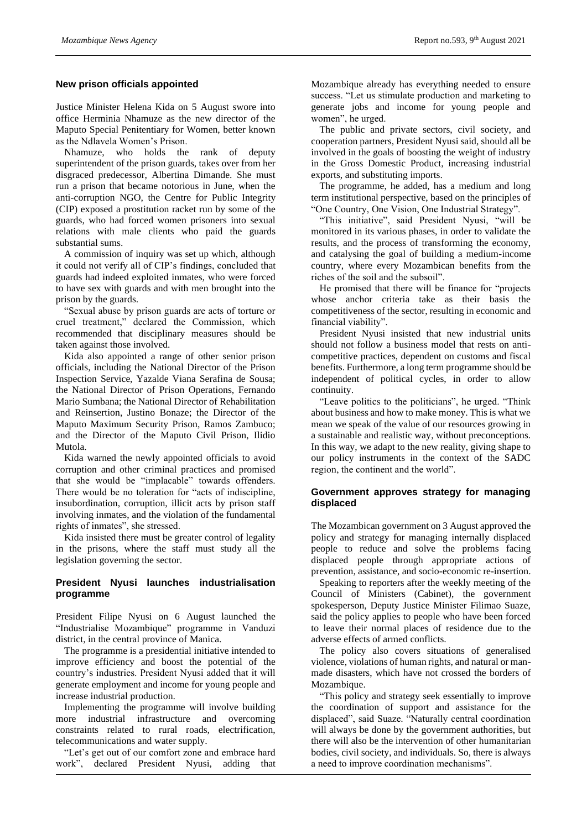#### **New prison officials appointed**

Justice Minister Helena Kida on 5 August swore into office Herminia Nhamuze as the new director of the Maputo Special Penitentiary for Women, better known as the Ndlavela Women's Prison.

Nhamuze, who holds the rank of deputy superintendent of the prison guards, takes over from her disgraced predecessor, Albertina Dimande. She must run a prison that became notorious in June, when the anti-corruption NGO, the Centre for Public Integrity (CIP) exposed a prostitution racket run by some of the guards, who had forced women prisoners into sexual relations with male clients who paid the guards substantial sums.

A commission of inquiry was set up which, although it could not verify all of CIP's findings, concluded that guards had indeed exploited inmates, who were forced to have sex with guards and with men brought into the prison by the guards.

"Sexual abuse by prison guards are acts of torture or cruel treatment," declared the Commission, which recommended that disciplinary measures should be taken against those involved.

Kida also appointed a range of other senior prison officials, including the National Director of the Prison Inspection Service, Yazalde Viana Serafina de Sousa; the National Director of Prison Operations, Fernando Mario Sumbana; the National Director of Rehabilitation and Reinsertion, Justino Bonaze; the Director of the Maputo Maximum Security Prison, Ramos Zambuco; and the Director of the Maputo Civil Prison, Ilidio Mutola.

Kida warned the newly appointed officials to avoid corruption and other criminal practices and promised that she would be "implacable" towards offenders. There would be no toleration for "acts of indiscipline, insubordination, corruption, illicit acts by prison staff involving inmates, and the violation of the fundamental rights of inmates", she stressed.

Kida insisted there must be greater control of legality in the prisons, where the staff must study all the legislation governing the sector.

#### **President Nyusi launches industrialisation programme**

President Filipe Nyusi on 6 August launched the "Industrialise Mozambique" programme in Vanduzi district, in the central province of Manica.

The programme is a presidential initiative intended to improve efficiency and boost the potential of the country's industries. President Nyusi added that it will generate employment and income for young people and increase industrial production.

Implementing the programme will involve building more industrial infrastructure and overcoming constraints related to rural roads, electrification, telecommunications and water supply.

"Let's get out of our comfort zone and embrace hard work", declared President Nyusi, adding that

Mozambique already has everything needed to ensure success. "Let us stimulate production and marketing to generate jobs and income for young people and women", he urged.

The public and private sectors, civil society, and cooperation partners, President Nyusi said, should all be involved in the goals of boosting the weight of industry in the Gross Domestic Product, increasing industrial exports, and substituting imports.

The programme, he added, has a medium and long term institutional perspective, based on the principles of "One Country, One Vision, One Industrial Strategy".

"This initiative", said President Nyusi, "will be monitored in its various phases, in order to validate the results, and the process of transforming the economy, and catalysing the goal of building a medium-income country, where every Mozambican benefits from the riches of the soil and the subsoil".

He promised that there will be finance for "projects whose anchor criteria take as their basis the competitiveness of the sector, resulting in economic and financial viability".

President Nyusi insisted that new industrial units should not follow a business model that rests on anticompetitive practices, dependent on customs and fiscal benefits. Furthermore, a long term programme should be independent of political cycles, in order to allow continuity.

"Leave politics to the politicians", he urged. "Think about business and how to make money. This is what we mean we speak of the value of our resources growing in a sustainable and realistic way, without preconceptions. In this way, we adapt to the new reality, giving shape to our policy instruments in the context of the SADC region, the continent and the world".

## **Government approves strategy for managing displaced**

The Mozambican government on 3 August approved the policy and strategy for managing internally displaced people to reduce and solve the problems facing displaced people through appropriate actions of prevention, assistance, and socio-economic re-insertion.

Speaking to reporters after the weekly meeting of the Council of Ministers (Cabinet), the government spokesperson, Deputy Justice Minister Filimao Suaze, said the policy applies to people who have been forced to leave their normal places of residence due to the adverse effects of armed conflicts.

The policy also covers situations of generalised violence, violations of human rights, and natural or manmade disasters, which have not crossed the borders of Mozambique.

"This policy and strategy seek essentially to improve the coordination of support and assistance for the displaced", said Suaze. "Naturally central coordination will always be done by the government authorities, but there will also be the intervention of other humanitarian bodies, civil society, and individuals. So, there is always a need to improve coordination mechanisms".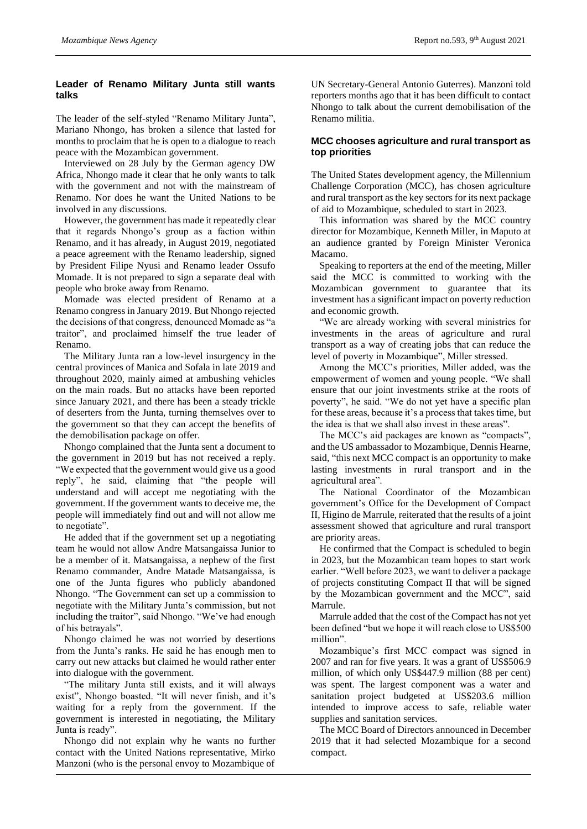#### **Leader of Renamo Military Junta still wants talks**

The leader of the self-styled "Renamo Military Junta", Mariano Nhongo, has broken a silence that lasted for months to proclaim that he is open to a dialogue to reach peace with the Mozambican government.

Interviewed on 28 July by the German agency DW Africa, Nhongo made it clear that he only wants to talk with the government and not with the mainstream of Renamo. Nor does he want the United Nations to be involved in any discussions.

However, the government has made it repeatedly clear that it regards Nhongo's group as a faction within Renamo, and it has already, in August 2019, negotiated a peace agreement with the Renamo leadership, signed by President Filipe Nyusi and Renamo leader Ossufo Momade. It is not prepared to sign a separate deal with people who broke away from Renamo.

Momade was elected president of Renamo at a Renamo congress in January 2019. But Nhongo rejected the decisions of that congress, denounced Momade as "a traitor", and proclaimed himself the true leader of Renamo.

The Military Junta ran a low-level insurgency in the central provinces of Manica and Sofala in late 2019 and throughout 2020, mainly aimed at ambushing vehicles on the main roads. But no attacks have been reported since January 2021, and there has been a steady trickle of deserters from the Junta, turning themselves over to the government so that they can accept the benefits of the demobilisation package on offer.

Nhongo complained that the Junta sent a document to the government in 2019 but has not received a reply. "We expected that the government would give us a good reply", he said, claiming that "the people will understand and will accept me negotiating with the government. If the government wants to deceive me, the people will immediately find out and will not allow me to negotiate".

He added that if the government set up a negotiating team he would not allow Andre Matsangaissa Junior to be a member of it. Matsangaissa, a nephew of the first Renamo commander, Andre Matade Matsangaissa, is one of the Junta figures who publicly abandoned Nhongo. "The Government can set up a commission to negotiate with the Military Junta's commission, but not including the traitor", said Nhongo. "We've had enough of his betrayals".

Nhongo claimed he was not worried by desertions from the Junta's ranks. He said he has enough men to carry out new attacks but claimed he would rather enter into dialogue with the government.

"The military Junta still exists, and it will always exist", Nhongo boasted. "It will never finish, and it's waiting for a reply from the government. If the government is interested in negotiating, the Military Junta is ready".

Nhongo did not explain why he wants no further contact with the United Nations representative, Mirko Manzoni (who is the personal envoy to Mozambique of

UN Secretary-General Antonio Guterres). Manzoni told reporters months ago that it has been difficult to contact Nhongo to talk about the current demobilisation of the Renamo militia.

#### **MCC chooses agriculture and rural transport as top priorities**

The United States development agency, the Millennium Challenge Corporation (MCC), has chosen agriculture and rural transport as the key sectors for its next package of aid to Mozambique, scheduled to start in 2023.

This information was shared by the MCC country director for Mozambique, Kenneth Miller, in Maputo at an audience granted by Foreign Minister Veronica Macamo.

Speaking to reporters at the end of the meeting, Miller said the MCC is committed to working with the Mozambican government to guarantee that its investment has a significant impact on poverty reduction and economic growth.

"We are already working with several ministries for investments in the areas of agriculture and rural transport as a way of creating jobs that can reduce the level of poverty in Mozambique", Miller stressed.

Among the MCC's priorities, Miller added, was the empowerment of women and young people. "We shall ensure that our joint investments strike at the roots of poverty", he said. "We do not yet have a specific plan for these areas, because it's a process that takes time, but the idea is that we shall also invest in these areas".

The MCC's aid packages are known as "compacts", and the US ambassador to Mozambique, Dennis Hearne, said, "this next MCC compact is an opportunity to make lasting investments in rural transport and in the agricultural area".

The National Coordinator of the Mozambican government's Office for the Development of Compact II, Higino de Marrule, reiterated that the results of a joint assessment showed that agriculture and rural transport are priority areas.

He confirmed that the Compact is scheduled to begin in 2023, but the Mozambican team hopes to start work earlier. "Well before 2023, we want to deliver a package of projects constituting Compact II that will be signed by the Mozambican government and the MCC", said Marrule.

Marrule added that the cost of the Compact has not yet been defined "but we hope it will reach close to US\$500 million".

Mozambique's first MCC compact was signed in 2007 and ran for five years. It was a grant of US\$506.9 million, of which only US\$447.9 million (88 per cent) was spent. The largest component was a water and sanitation project budgeted at US\$203.6 million intended to improve access to safe, reliable water supplies and sanitation services.

The MCC Board of Directors announced in December 2019 that it had selected Mozambique for a second compact.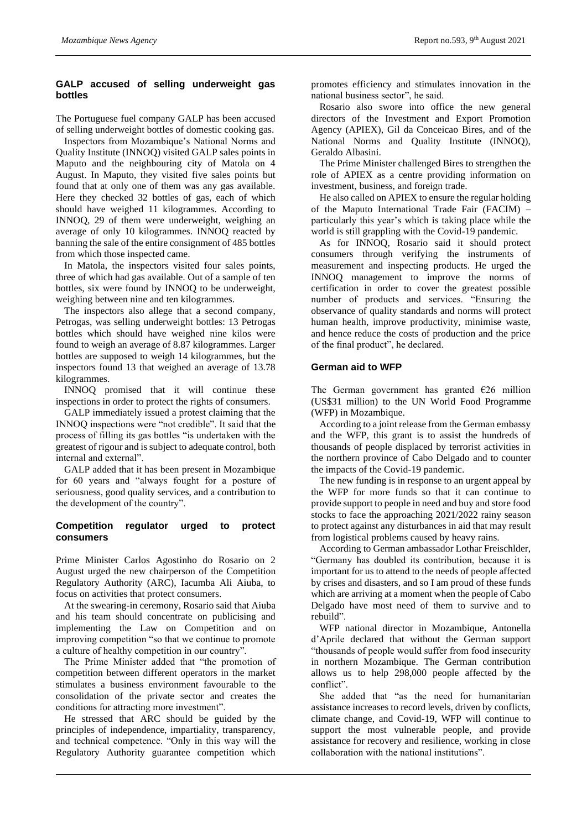#### **GALP accused of selling underweight gas bottles**

The Portuguese fuel company GALP has been accused of selling underweight bottles of domestic cooking gas.

Inspectors from Mozambique's National Norms and Quality Institute (INNOQ) visited GALP sales points in Maputo and the neighbouring city of Matola on 4 August. In Maputo, they visited five sales points but found that at only one of them was any gas available. Here they checked 32 bottles of gas, each of which should have weighed 11 kilogrammes. According to INNOQ, 29 of them were underweight, weighing an average of only 10 kilogrammes. INNOQ reacted by banning the sale of the entire consignment of 485 bottles from which those inspected came.

In Matola, the inspectors visited four sales points, three of which had gas available. Out of a sample of ten bottles, six were found by INNOQ to be underweight, weighing between nine and ten kilogrammes.

The inspectors also allege that a second company, Petrogas, was selling underweight bottles: 13 Petrogas bottles which should have weighed nine kilos were found to weigh an average of 8.87 kilogrammes. Larger bottles are supposed to weigh 14 kilogrammes, but the inspectors found 13 that weighed an average of 13.78 kilogrammes.

INNOQ promised that it will continue these inspections in order to protect the rights of consumers.

GALP immediately issued a protest claiming that the INNOQ inspections were "not credible". It said that the process of filling its gas bottles "is undertaken with the greatest of rigour and is subject to adequate control, both internal and external".

GALP added that it has been present in Mozambique for 60 years and "always fought for a posture of seriousness, good quality services, and a contribution to the development of the country".

## **Competition regulator urged to protect consumers**

Prime Minister Carlos Agostinho do Rosario on 2 August urged the new chairperson of the Competition Regulatory Authority (ARC), Iacumba Ali Aiuba, to focus on activities that protect consumers.

At the swearing-in ceremony, Rosario said that Aiuba and his team should concentrate on publicising and implementing the Law on Competition and on improving competition "so that we continue to promote a culture of healthy competition in our country".

The Prime Minister added that "the promotion of competition between different operators in the market stimulates a business environment favourable to the consolidation of the private sector and creates the conditions for attracting more investment".

He stressed that ARC should be guided by the principles of independence, impartiality, transparency, and technical competence. "Only in this way will the Regulatory Authority guarantee competition which

promotes efficiency and stimulates innovation in the national business sector", he said.

Rosario also swore into office the new general directors of the Investment and Export Promotion Agency (APIEX), Gil da Conceicao Bires, and of the National Norms and Quality Institute (INNOQ), Geraldo Albasini.

The Prime Minister challenged Bires to strengthen the role of APIEX as a centre providing information on investment, business, and foreign trade.

He also called on APIEX to ensure the regular holding of the Maputo International Trade Fair (FACIM) – particularly this year's which is taking place while the world is still grappling with the Covid-19 pandemic.

As for INNOQ, Rosario said it should protect consumers through verifying the instruments of measurement and inspecting products. He urged the INNOQ management to improve the norms of certification in order to cover the greatest possible number of products and services. "Ensuring the observance of quality standards and norms will protect human health, improve productivity, minimise waste, and hence reduce the costs of production and the price of the final product", he declared.

#### **German aid to WFP**

The German government has granted  $E26$  million (US\$31 million) to the UN World Food Programme (WFP) in Mozambique.

According to a joint release from the German embassy and the WFP, this grant is to assist the hundreds of thousands of people displaced by terrorist activities in the northern province of Cabo Delgado and to counter the impacts of the Covid-19 pandemic.

The new funding is in response to an urgent appeal by the WFP for more funds so that it can continue to provide support to people in need and buy and store food stocks to face the approaching 2021/2022 rainy season to protect against any disturbances in aid that may result from logistical problems caused by heavy rains.

According to German ambassador Lothar Freischlder, "Germany has doubled its contribution, because it is important for us to attend to the needs of people affected by crises and disasters, and so I am proud of these funds which are arriving at a moment when the people of Cabo Delgado have most need of them to survive and to rebuild".

WFP national director in Mozambique, Antonella d'Aprile declared that without the German support "thousands of people would suffer from food insecurity in northern Mozambique. The German contribution allows us to help 298,000 people affected by the conflict".

She added that "as the need for humanitarian assistance increases to record levels, driven by conflicts, climate change, and Covid-19, WFP will continue to support the most vulnerable people, and provide assistance for recovery and resilience, working in close collaboration with the national institutions".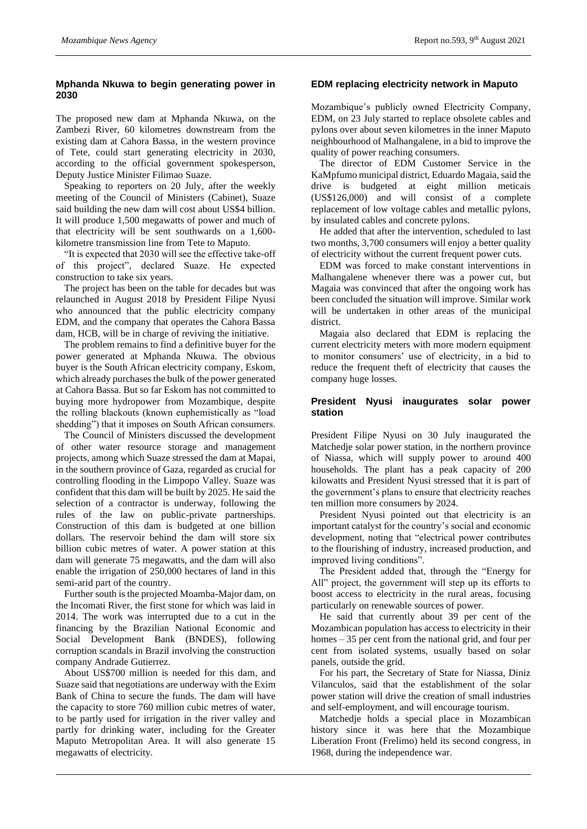#### **Mphanda Nkuwa to begin generating power in 2030**

The proposed new dam at Mphanda Nkuwa, on the Zambezi River, 60 kilometres downstream from the existing dam at Cahora Bassa, in the western province of Tete, could start generating electricity in 2030, according to the official government spokesperson, Deputy Justice Minister Filimao Suaze.

Speaking to reporters on 20 July, after the weekly meeting of the Council of Ministers (Cabinet), Suaze said building the new dam will cost about US\$4 billion. It will produce 1,500 megawatts of power and much of that electricity will be sent southwards on a 1,600 kilometre transmission line from Tete to Maputo.

"It is expected that 2030 will see the effective take-off of this project", declared Suaze. He expected construction to take six years.

The project has been on the table for decades but was relaunched in August 2018 by President Filipe Nyusi who announced that the public electricity company EDM, and the company that operates the Cahora Bassa dam, HCB, will be in charge of reviving the initiative.

The problem remains to find a definitive buyer for the power generated at Mphanda Nkuwa. The obvious buyer is the South African electricity company, Eskom, which already purchases the bulk of the power generated at Cahora Bassa. But so far Eskom has not committed to buying more hydropower from Mozambique, despite the rolling blackouts (known euphemistically as "load shedding") that it imposes on South African consumers.

The Council of Ministers discussed the development of other water resource storage and management projects, among which Suaze stressed the dam at Mapai, in the southern province of Gaza, regarded as crucial for controlling flooding in the Limpopo Valley. Suaze was confident that this dam will be built by 2025. He said the selection of a contractor is underway, following the rules of the law on public-private partnerships. Construction of this dam is budgeted at one billion dollars. The reservoir behind the dam will store six billion cubic metres of water. A power station at this dam will generate 75 megawatts, and the dam will also enable the irrigation of 250,000 hectares of land in this semi-arid part of the country.

Further south is the projected Moamba-Major dam, on the Incomati River, the first stone for which was laid in 2014. The work was interrupted due to a cut in the financing by the Brazilian National Economic and Social Development Bank (BNDES), following corruption scandals in Brazil involving the construction company Andrade Gutierrez.

About US\$700 million is needed for this dam, and Suaze said that negotiations are underway with the Exim Bank of China to secure the funds. The dam will have the capacity to store 760 million cubic metres of water, to be partly used for irrigation in the river valley and partly for drinking water, including for the Greater Maputo Metropolitan Area. It will also generate 15 megawatts of electricity.

#### **EDM replacing electricity network in Maputo**

Mozambique's publicly owned Electricity Company, EDM, on 23 July started to replace obsolete cables and pylons over about seven kilometres in the inner Maputo neighbourhood of Malhangalene, in a bid to improve the quality of power reaching consumers.

The director of EDM Customer Service in the KaMpfumo municipal district, Eduardo Magaia, said the drive is budgeted at eight million meticais (US\$126,000) and will consist of a complete replacement of low voltage cables and metallic pylons, by insulated cables and concrete pylons.

He added that after the intervention, scheduled to last two months, 3,700 consumers will enjoy a better quality of electricity without the current frequent power cuts.

EDM was forced to make constant interventions in Malhangalene whenever there was a power cut, but Magaia was convinced that after the ongoing work has been concluded the situation will improve. Similar work will be undertaken in other areas of the municipal district.

Magaia also declared that EDM is replacing the current electricity meters with more modern equipment to monitor consumers' use of electricity, in a bid to reduce the frequent theft of electricity that causes the company huge losses.

#### **President Nyusi inaugurates solar power station**

President Filipe Nyusi on 30 July inaugurated the Matchedje solar power station, in the northern province of Niassa, which will supply power to around 400 households. The plant has a peak capacity of 200 kilowatts and President Nyusi stressed that it is part of the government's plans to ensure that electricity reaches ten million more consumers by 2024.

President Nyusi pointed out that electricity is an important catalyst for the country's social and economic development, noting that "electrical power contributes to the flourishing of industry, increased production, and improved living conditions".

The President added that, through the "Energy for All" project, the government will step up its efforts to boost access to electricity in the rural areas, focusing particularly on renewable sources of power.

He said that currently about 39 per cent of the Mozambican population has access to electricity in their homes – 35 per cent from the national grid, and four per cent from isolated systems, usually based on solar panels, outside the grid.

For his part, the Secretary of State for Niassa, Diniz Vilanculos, said that the establishment of the solar power station will drive the creation of small industries and self-employment, and will encourage tourism.

Matchedje holds a special place in Mozambican history since it was here that the Mozambique Liberation Front (Frelimo) held its second congress, in 1968, during the independence war.